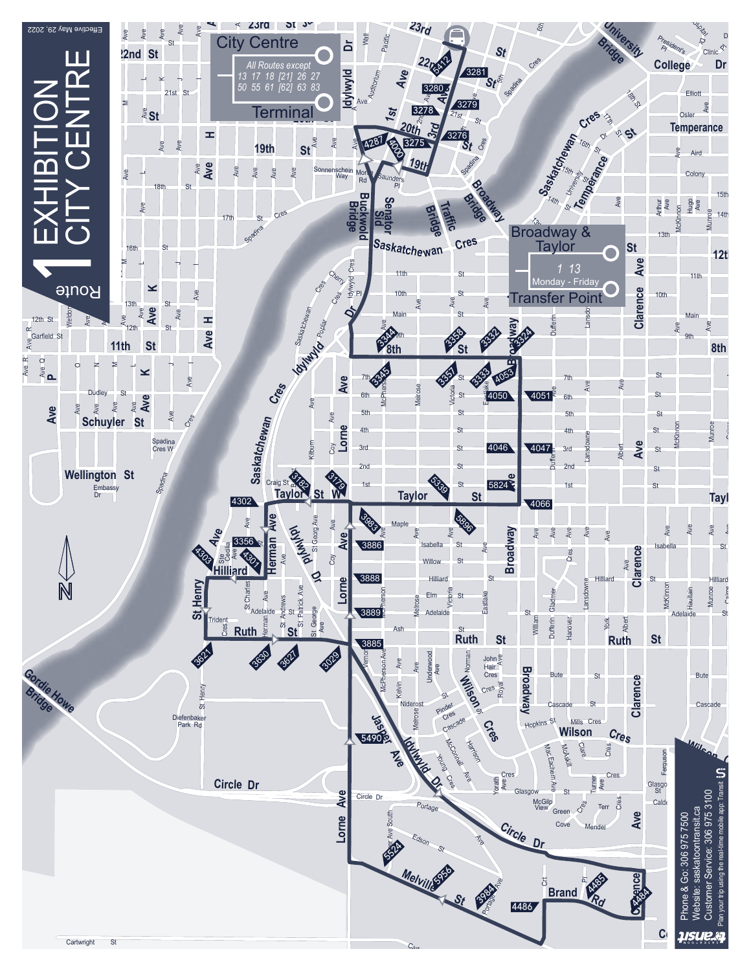